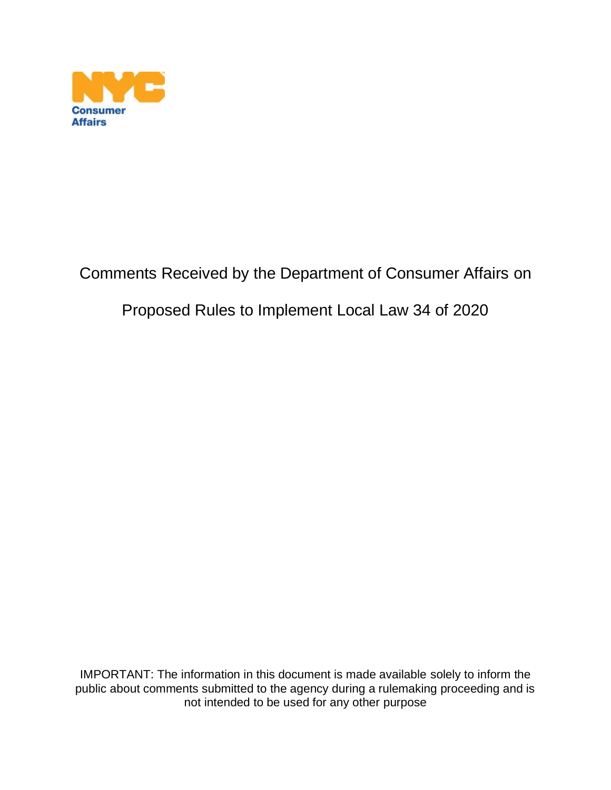

# Comments Received by the Department of Consumer Affairs on

# Proposed Rules to Implement Local Law 34 of 2020

IMPORTANT: The information in this document is made available solely to inform the public about comments submitted to the agency during a rulemaking proceeding and is not intended to be used for any other purpose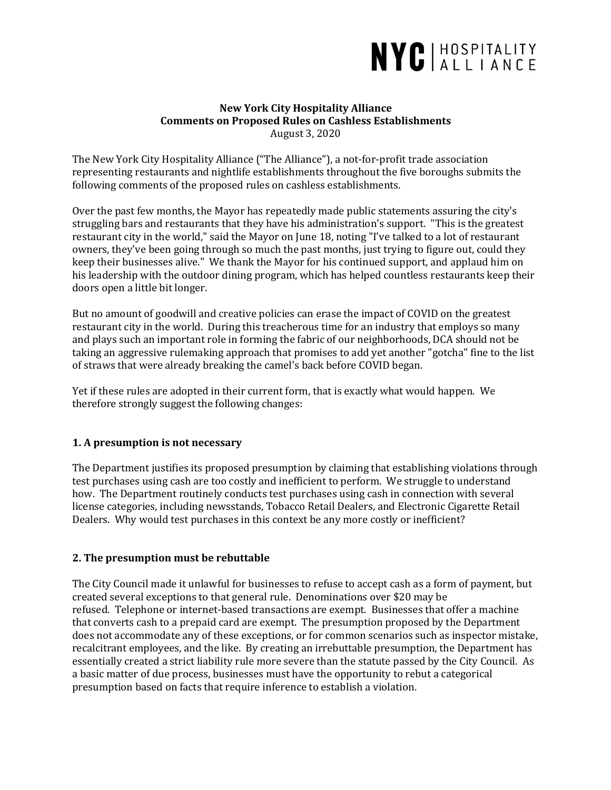# NYCIHOSPITALITY

#### **New York City Hospitality Alliance Comments on Proposed Rules on Cashless Establishments** August 3, 2020

The New York City Hospitality Alliance ("The Alliance"), a not-for-profit trade association representing restaurants and nightlife establishments throughout the five boroughs submits the following comments of the proposed rules on cashless establishments.

Over the past few months, the Mayor has repeatedly made public statements assuring the city's struggling bars and restaurants that they have his administration's support. "This is the greatest restaurant city in the world," said the Mayor on June 18, noting "I've talked to a lot of restaurant owners, they've been going through so much the past months, just trying to figure out, could they keep their businesses alive." We thank the Mayor for his continued support, and applaud him on his leadership with the outdoor dining program, which has helped countless restaurants keep their doors open a little bit longer.

But no amount of goodwill and creative policies can erase the impact of COVID on the greatest restaurant city in the world. During this treacherous time for an industry that employs so many and plays such an important role in forming the fabric of our neighborhoods, DCA should not be taking an aggressive rulemaking approach that promises to add yet another "gotcha" fine to the list of straws that were already breaking the camel's back before COVID began.

Yet if these rules are adopted in their current form, that is exactly what would happen. We therefore strongly suggest the following changes:

#### **1. A presumption is not necessary**

The Department justifies its proposed presumption by claiming that establishing violations through test purchases using cash are too costly and inefficient to perform. We struggle to understand how. The Department routinely conducts test purchases using cash in connection with several license categories, including newsstands, Tobacco Retail Dealers, and Electronic Cigarette Retail Dealers. Why would test purchases in this context be any more costly or inefficient?

#### **2.** The presumption must be rebuttable

The City Council made it unlawful for businesses to refuse to accept cash as a form of payment, but created several exceptions to that general rule. Denominations over \$20 may be refused. Telephone or internet-based transactions are exempt. Businesses that offer a machine that converts cash to a prepaid card are exempt. The presumption proposed by the Department does not accommodate any of these exceptions, or for common scenarios such as inspector mistake, recalcitrant employees, and the like. By creating an irrebuttable presumption, the Department has essentially created a strict liability rule more severe than the statute passed by the City Council. As a basic matter of due process, businesses must have the opportunity to rebut a categorical presumption based on facts that require inference to establish a violation.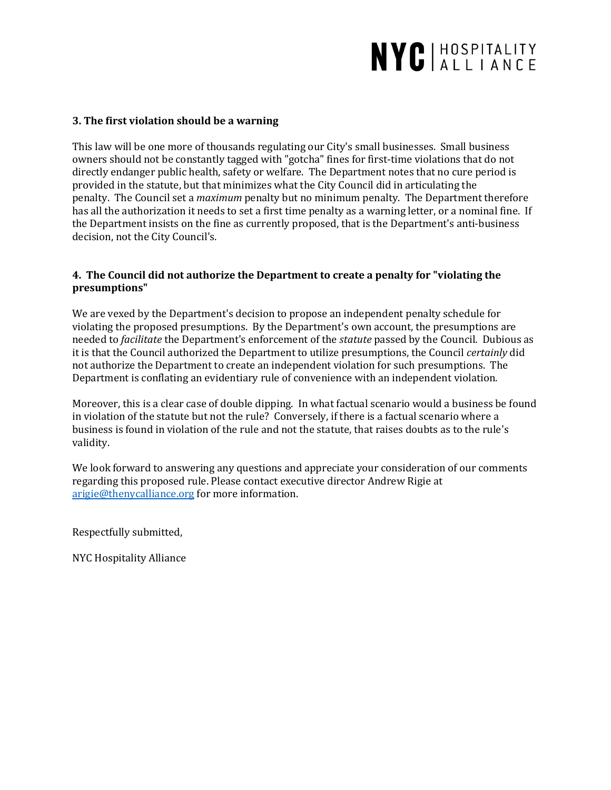# NYCIHOSPITALITY

#### **3.** The first violation should be a warning

This law will be one more of thousands regulating our City's small businesses. Small business owners should not be constantly tagged with "gotcha" fines for first-time violations that do not directly endanger public health, safety or welfare. The Department notes that no cure period is provided in the statute, but that minimizes what the City Council did in articulating the penalty. The Council set a *maximum* penalty but no minimum penalty. The Department therefore has all the authorization it needs to set a first time penalty as a warning letter, or a nominal fine. If the Department insists on the fine as currently proposed, that is the Department's anti-business decision, not the City Council's.

#### **4.** The Council did not authorize the Department to create a penalty for "violating the **presumptions"**

We are vexed by the Department's decision to propose an independent penalty schedule for violating the proposed presumptions. By the Department's own account, the presumptions are needed to *facilitate* the Department's enforcement of the *statute* passed by the Council. Dubious as it is that the Council authorized the Department to utilize presumptions, the Council *certainly* did not authorize the Department to create an independent violation for such presumptions. The Department is conflating an evidentiary rule of convenience with an independent violation.

Moreover, this is a clear case of double dipping. In what factual scenario would a business be found in violation of the statute but not the rule? Conversely, if there is a factual scenario where a business is found in violation of the rule and not the statute, that raises doubts as to the rule's validity. 

We look forward to answering any questions and appreciate your consideration of our comments regarding this proposed rule. Please contact executive director Andrew Rigie at  $arigie@thenycalliance.org$  for more information.

Respectfully submitted,

NYC Hospitality Alliance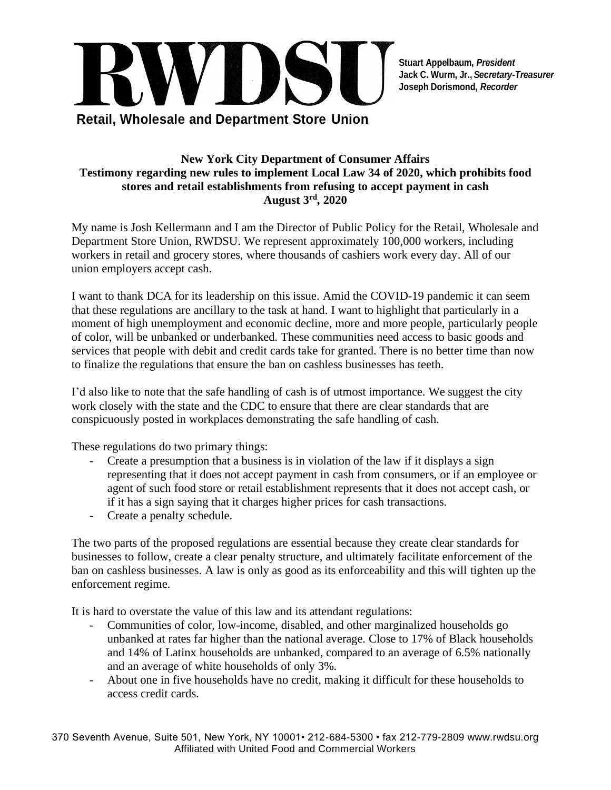

**Stuart Appelbaum,** *President* **Jack C. Wurm, Jr.,** *Secretary-Treasurer* **Joseph Dorismond,** *Recorder*

#### **New York City Department of Consumer Affairs Testimony regarding new rules to implement Local Law 34 of 2020, which prohibits food stores and retail establishments from refusing to accept payment in cash August 3 rd, 2020**

My name is Josh Kellermann and I am the Director of Public Policy for the Retail, Wholesale and Department Store Union, RWDSU. We represent approximately 100,000 workers, including workers in retail and grocery stores, where thousands of cashiers work every day. All of our union employers accept cash.

I want to thank DCA for its leadership on this issue. Amid the COVID-19 pandemic it can seem that these regulations are ancillary to the task at hand. I want to highlight that particularly in a moment of high unemployment and economic decline, more and more people, particularly people of color, will be unbanked or underbanked. These communities need access to basic goods and services that people with debit and credit cards take for granted. There is no better time than now to finalize the regulations that ensure the ban on cashless businesses has teeth.

I'd also like to note that the safe handling of cash is of utmost importance. We suggest the city work closely with the state and the CDC to ensure that there are clear standards that are conspicuously posted in workplaces demonstrating the safe handling of cash.

These regulations do two primary things:

- Create a presumption that a business is in violation of the law if it displays a sign representing that it does not accept payment in cash from consumers, or if an employee or agent of such food store or retail establishment represents that it does not accept cash, or if it has a sign saying that it charges higher prices for cash transactions.
- Create a penalty schedule.

The two parts of the proposed regulations are essential because they create clear standards for businesses to follow, create a clear penalty structure, and ultimately facilitate enforcement of the ban on cashless businesses. A law is only as good as its enforceability and this will tighten up the enforcement regime.

It is hard to overstate the value of this law and its attendant regulations:

- Communities of color, low-income, disabled, and other marginalized households go unbanked at rates far higher than the national average. Close to 17% of Black households and 14% of Latinx households are unbanked, compared to an average of 6.5% nationally and an average of white households of only 3%.
- About one in five households have no credit, making it difficult for these households to access credit cards.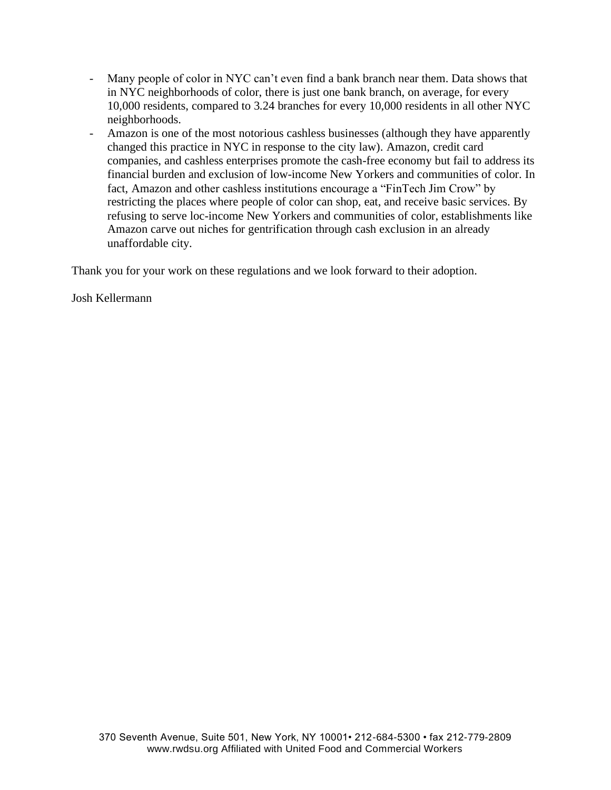- Many people of color in NYC can't even find a bank branch near them. Data shows that in NYC neighborhoods of color, there is just one bank branch, on average, for every 10,000 residents, compared to 3.24 branches for every 10,000 residents in all other NYC neighborhoods.
- Amazon is one of the most notorious cashless businesses (although they have apparently changed this practice in NYC in response to the city law). Amazon, credit card companies, and cashless enterprises promote the cash-free economy but fail to address its financial burden and exclusion of low-income New Yorkers and communities of color. In fact, Amazon and other cashless institutions encourage a "FinTech Jim Crow" by restricting the places where people of color can shop, eat, and receive basic services. By refusing to serve loc-income New Yorkers and communities of color, establishments like Amazon carve out niches for gentrification through cash exclusion in an already unaffordable city.

Thank you for your work on these regulations and we look forward to their adoption.

Josh Kellermann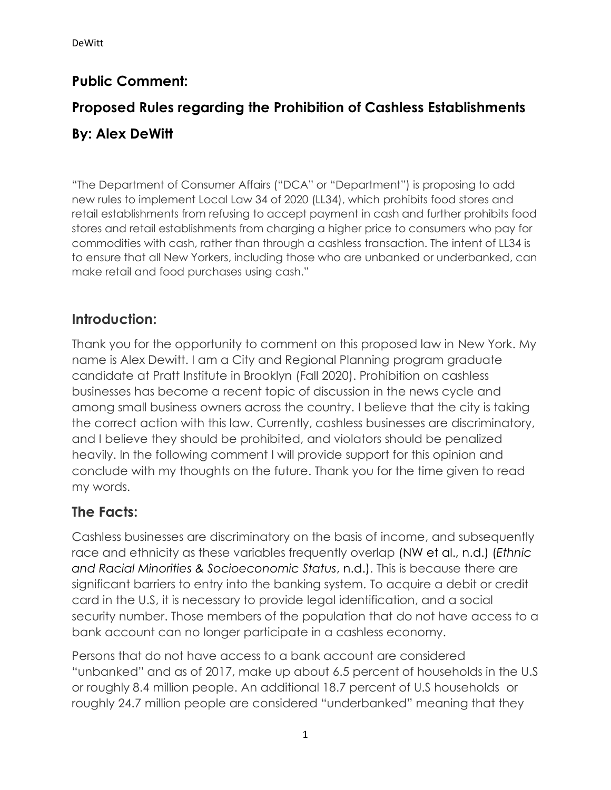# **Public Comment: Proposed Rules regarding the Prohibition of Cashless Establishments By: Alex DeWitt**

"The Department of Consumer Affairs ("DCA" or "Department") is proposing to add new rules to implement Local Law 34 of 2020 (LL34), which prohibits food stores and retail establishments from refusing to accept payment in cash and further prohibits food stores and retail establishments from charging a higher price to consumers who pay for commodities with cash, rather than through a cashless transaction. The intent of LL34 is to ensure that all New Yorkers, including those who are unbanked or underbanked, can make retail and food purchases using cash."

### **Introduction:**

Thank you for the opportunity to comment on this proposed law in New York. My name is Alex Dewitt. I am a City and Regional Planning program graduate candidate at Pratt Institute in Brooklyn (Fall 2020). Prohibition on cashless businesses has become a recent topic of discussion in the news cycle and among small business owners across the country. I believe that the city is taking the correct action with this law. Currently, cashless businesses are discriminatory, and I believe they should be prohibited, and violators should be penalized heavily. In the following comment I will provide support for this opinion and conclude with my thoughts on the future. Thank you for the time given to read my words.

### **The Facts:**

Cashless businesses are discriminatory on the basis of income, and subsequently race and ethnicity as these variables frequently overlap (NW et al., n.d.) (*Ethnic and Racial Minorities & Socioeconomic Status*, n.d.). This is because there are significant barriers to entry into the banking system. To acquire a debit or credit card in the U.S, it is necessary to provide legal identification, and a social security number. Those members of the population that do not have access to a bank account can no longer participate in a cashless economy.

Persons that do not have access to a bank account are considered "unbanked" and as of 2017, make up about 6.5 percent of households in the U.S or roughly 8.4 million people. An additional 18.7 percent of U.S households or roughly 24.7 million people are considered "underbanked" meaning that they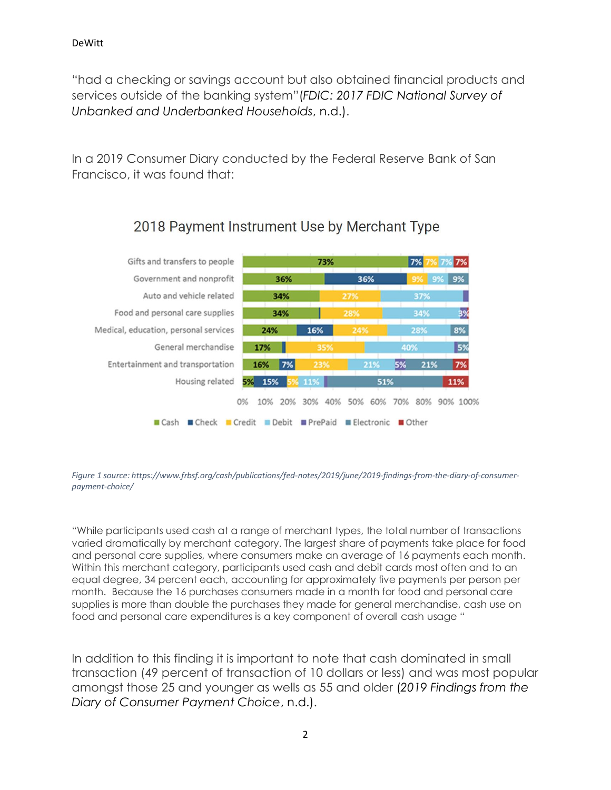"had a checking or savings account but also obtained financial products and services outside of the banking system"(*FDIC: 2017 FDIC National Survey of Unbanked and Underbanked Households*, n.d.).

In a 2019 Consumer Diary conducted by the Federal Reserve Bank of San Francisco, it was found that:



## 2018 Payment Instrument Use by Merchant Type

*Figure 1 source: https://www.frbsf.org/cash/publications/fed-notes/2019/june/2019-findings-from-the-diary-of-consumerpayment-choice/*

"While participants used cash at a range of merchant types, the total number of transactions varied dramatically by merchant category. The largest share of payments take place for food and personal care supplies, where consumers make an average of 16 payments each month. Within this merchant category, participants used cash and debit cards most often and to an equal degree, 34 percent each, accounting for approximately five payments per person per month. Because the 16 purchases consumers made in a month for food and personal care supplies is more than double the purchases they made for general merchandise, cash use on food and personal care expenditures is a key component of overall cash usage "

In addition to this finding it is important to note that cash dominated in small transaction (49 percent of transaction of 10 dollars or less) and was most popular amongst those 25 and younger as wells as 55 and older (*2019 Findings from the Diary of Consumer Payment Choice*, n.d.).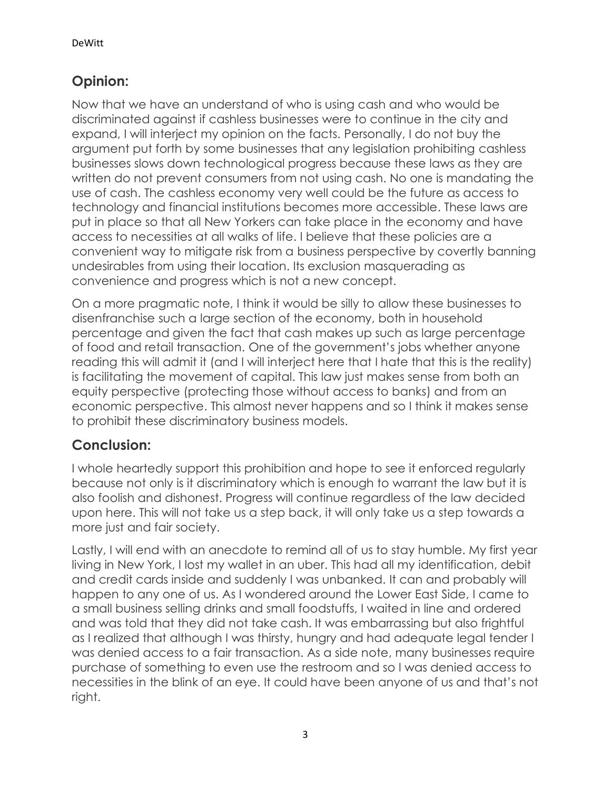# **Opinion:**

Now that we have an understand of who is using cash and who would be discriminated against if cashless businesses were to continue in the city and expand, I will interject my opinion on the facts. Personally, I do not buy the argument put forth by some businesses that any legislation prohibiting cashless businesses slows down technological progress because these laws as they are written do not prevent consumers from not using cash. No one is mandating the use of cash. The cashless economy very well could be the future as access to technology and financial institutions becomes more accessible. These laws are put in place so that all New Yorkers can take place in the economy and have access to necessities at all walks of life. I believe that these policies are a convenient way to mitigate risk from a business perspective by covertly banning undesirables from using their location. Its exclusion masquerading as convenience and progress which is not a new concept.

On a more pragmatic note, I think it would be silly to allow these businesses to disenfranchise such a large section of the economy, both in household percentage and given the fact that cash makes up such as large percentage of food and retail transaction. One of the government's jobs whether anyone reading this will admit it (and I will interject here that I hate that this is the reality) is facilitating the movement of capital. This law just makes sense from both an equity perspective (protecting those without access to banks) and from an economic perspective. This almost never happens and so I think it makes sense to prohibit these discriminatory business models.

# **Conclusion:**

I whole heartedly support this prohibition and hope to see it enforced regularly because not only is it discriminatory which is enough to warrant the law but it is also foolish and dishonest. Progress will continue regardless of the law decided upon here. This will not take us a step back, it will only take us a step towards a more just and fair society.

Lastly, I will end with an anecdote to remind all of us to stay humble. My first year living in New York, I lost my wallet in an uber. This had all my identification, debit and credit cards inside and suddenly I was unbanked. It can and probably will happen to any one of us. As I wondered around the Lower East Side, I came to a small business selling drinks and small foodstuffs, I waited in line and ordered and was told that they did not take cash. It was embarrassing but also frightful as I realized that although I was thirsty, hungry and had adequate legal tender I was denied access to a fair transaction. As a side note, many businesses require purchase of something to even use the restroom and so I was denied access to necessities in the blink of an eye. It could have been anyone of us and that's not right.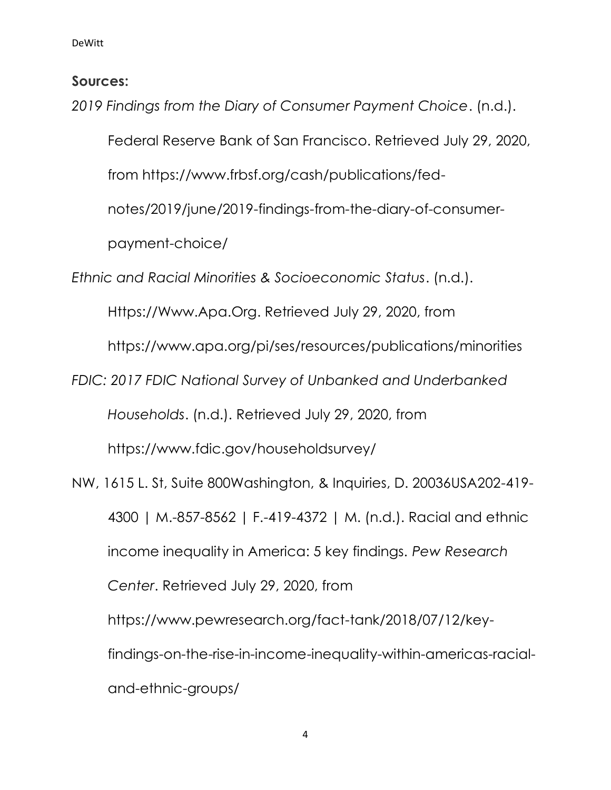#### **Sources:**

*2019 Findings from the Diary of Consumer Payment Choice*. (n.d.).

Federal Reserve Bank of San Francisco. Retrieved July 29, 2020,

from https://www.frbsf.org/cash/publications/fed-

notes/2019/june/2019-findings-from-the-diary-of-consumer-

payment-choice/

*Ethnic and Racial Minorities & Socioeconomic Status*. (n.d.).

Https://Www.Apa.Org. Retrieved July 29, 2020, from

https://www.apa.org/pi/ses/resources/publications/minorities

*FDIC: 2017 FDIC National Survey of Unbanked and Underbanked Households*. (n.d.). Retrieved July 29, 2020, from https://www.fdic.gov/householdsurvey/

NW, 1615 L. St, Suite 800Washington, & Inquiries, D. 20036USA202-419- 4300 | M.-857-8562 | F.-419-4372 | M. (n.d.). Racial and ethnic income inequality in America: 5 key findings. *Pew Research Center*. Retrieved July 29, 2020, from https://www.pewresearch.org/fact-tank/2018/07/12/keyfindings-on-the-rise-in-income-inequality-within-americas-racialand-ethnic-groups/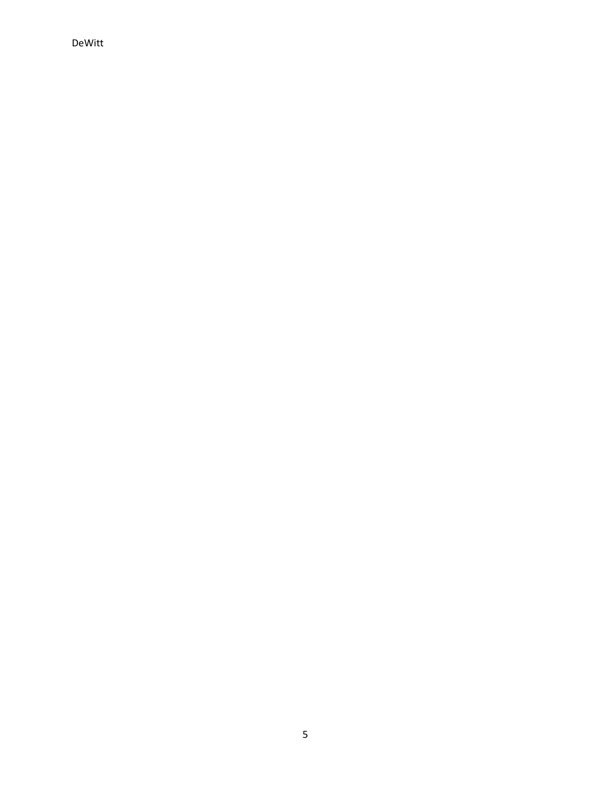DeWitt